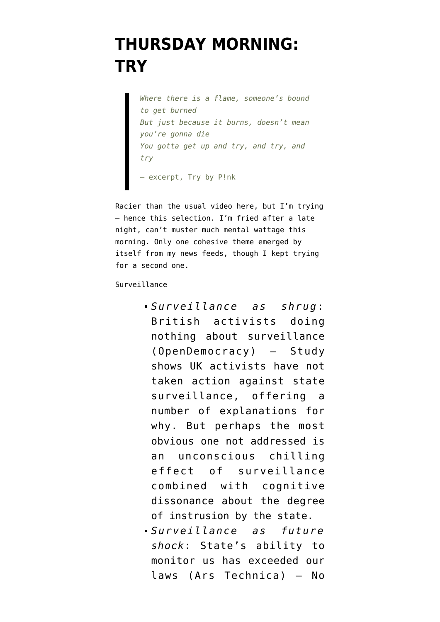## **[THURSDAY MORNING:](https://www.emptywheel.net/2016/05/26/thursday-morning-try/) [TRY](https://www.emptywheel.net/2016/05/26/thursday-morning-try/)**

*Where there is a flame, someone's bound to get burned But just because it burns, doesn't mean you're gonna die You gotta get up and try, and try, and try* — excerpt, Try by P!nk

Racier than the usual video here, but I'm trying — hence this selection. I'm fried after a late night, can't muster much mental wattage this morning. Only one cohesive theme emerged by itself from my news feeds, though I kept trying for a second one.

## Surveillance

- *Surveillance as shrug*: [British activists doing](https://opendemocracy.net/uk/gilbert-ramsay/report-impacts-of-surveillance-on-contemporary-british-activism) [nothing about surveillance](https://opendemocracy.net/uk/gilbert-ramsay/report-impacts-of-surveillance-on-contemporary-british-activism) (OpenDemocracy) — Study shows UK activists have not taken action against state surveillance, offering a number of explanations for why. But perhaps the most obvious one not addressed is an unconscious chilling effect of surveillance combined with cognitive dissonance about the degree of instrusion by the state.
- *Surveillance as future shock*: [State's ability to](http://arstechnica.com/tech-policy/2016/05/surveillance-technology-has-advanced-far-beyond-the-laws-that-govern-it/) [monitor us has exceeded our](http://arstechnica.com/tech-policy/2016/05/surveillance-technology-has-advanced-far-beyond-the-laws-that-govern-it/) [laws](http://arstechnica.com/tech-policy/2016/05/surveillance-technology-has-advanced-far-beyond-the-laws-that-govern-it/) (Ars Technica) — No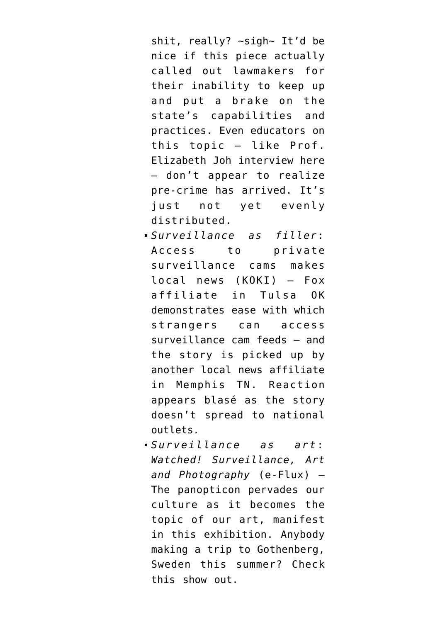shit, really? ~sigh~ It'd be nice if this piece actually called out lawmakers for their inability to keep up and put a brake on the state's capabilities and practices. Even educators on this topic — like Prof. Elizabeth Joh interview here — don't appear to realize pre-crime has arrived. [It's](https://www.goodreads.com/quotes/681-the-future-is-already-here-it-s-just-not-evenly) [just not yet evenly](https://www.goodreads.com/quotes/681-the-future-is-already-here-it-s-just-not-evenly) [distributed](https://www.goodreads.com/quotes/681-the-future-is-already-here-it-s-just-not-evenly).

- *Surveillance as filler*: [Access to private](http://www.fox23.com/news/fox23-investigates/surveillance-cameras-could-put-your-home-at-risk/298682660) [surveillance cams makes](http://www.fox23.com/news/fox23-investigates/surveillance-cameras-could-put-your-home-at-risk/298682660) [local news](http://www.fox23.com/news/fox23-investigates/surveillance-cameras-could-put-your-home-at-risk/298682660) (KOKI) — Fox affiliate in Tulsa OK demonstrates ease with which strangers can access surveillance cam feeds — and the story is picked up by another local news affiliate in [Memphis TN.](http://www.fox13memphis.com/news/trending-now/surveillance-cameras-could-put-your-home-at-risk/304073136) Reaction appears blasé as the story doesn't spread to national outlets.
- *Surveillance as art*: *[Watched! Surveillance, Art](http://www.e-flux.com/announcements/watched-photo-exhibition-about-surveillance/) [and Photography](http://www.e-flux.com/announcements/watched-photo-exhibition-about-surveillance/)* (e-Flux) — The panopticon pervades our culture as it becomes the topic of our art, manifest in this exhibition. Anybody making a trip to Gothenberg, Sweden this summer? Check this show out.